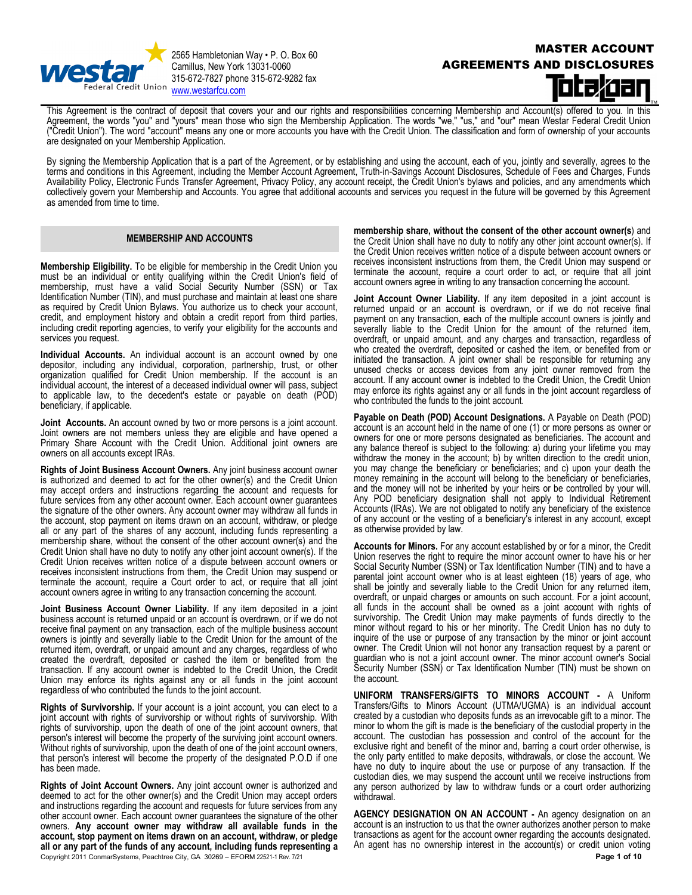

2565 Hambletonian Way • P. O. Box 60 Camillus, New York 13031-0060 315-672-7827 phone 315-672-9282 fax Credit Union [www.westarfcu.com](http://www.westarfcu.com/)

# MASTER ACCOUNT AGREEMENTS AND DISCLOSURES

This Agreement is the contract of deposit that covers your and our rights and responsibilities concerning Membership and Account(s) offered to you. In this Agreement, the words "you" and "yours" mean those who sign the Membership Application. The words "we," "us," and "our" mean Westar Federal Credit Union ("Credit Union"). The word "account" means any one or more accounts you have with the Credit Union. The classification and form of ownership of your accounts are designated on your Membership Application.

By signing the Membership Application that is a part of the Agreement, or by establishing and using the account, each of you, jointly and severally, agrees to the terms and conditions in this Agreement, including the Member Account Agreement, Truth-in-Savings Account Disclosures, Schedule of Fees and Charges, Funds Availability Policy, Electronic Funds Transfer Agreement, Privacy Policy, any account receipt, the Credit Union's bylaws and policies, and any amendments which collectively govern your Membership and Accounts. You agree that additional accounts and services you request in the future will be governed by this Agreement as amended from time to time.

# **MEMBERSHIP AND ACCOUNTS**

**Membership Eligibility.** To be eligible for membership in the Credit Union you must be an individual or entity qualifying within the Credit Union's field of membership, must have a valid Social Security Number (SSN) or Tax Identification Number (TIN), and must purchase and maintain at least one share as required by Credit Union Bylaws. You authorize us to check your account, credit, and employment history and obtain a credit report from third parties, including credit reporting agencies, to verify your eligibility for the accounts and services you request.

**Individual Accounts.** An individual account is an account owned by one depositor, including any individual, corporation, partnership, trust, or other organization qualified for Credit Union membership. If the account is an individual account, the interest of a deceased individual owner will pass, subject to applicable law, to the decedent's estate or payable on death (POD) beneficiary, if applicable.

**Joint Accounts.** An account owned by two or more persons is a joint account. Joint owners are not members unless they are eligible and have opened a Primary Share Account with the Credit Union. Additional joint owners are owners on all accounts except IRAs.

**Rights of Joint Business Account Owners.** Any joint business account owner is authorized and deemed to act for the other owner(s) and the Credit Union may accept orders and instructions regarding the account and requests for future services from any other account owner. Each account owner guarantees the signature of the other owners. Any account owner may withdraw all funds in the account, stop payment on items drawn on an account, withdraw, or pledge all or any part of the shares of any account, including funds representing a membership share, without the consent of the other account owner(s) and the Credit Union shall have no duty to notify any other joint account owner(s). If the Credit Union receives written notice of a dispute between account owners or receives inconsistent instructions from them, the Credit Union may suspend or terminate the account, require a Court order to act, or require that all joint account owners agree in writing to any transaction concerning the account.

**Joint Business Account Owner Liability.** If any item deposited in a joint business account is returned unpaid or an account is overdrawn, or if we do not receive final payment on any transaction, each of the multiple business account owners is jointly and severally liable to the Credit Union for the amount of the returned item, overdraft, or unpaid amount and any charges, regardless of who created the overdraft, deposited or cashed the item or benefited from the transaction. If any account owner is indebted to the Credit Union, the Credit Union may enforce its rights against any or all funds in the joint account regardless of who contributed the funds to the joint account.

**Rights of Survivorship.** If your account is a joint account, you can elect to a joint account with rights of survivorship or without rights of survivorship. With rights of survivorship, upon the death of one of the joint account owners, that person's interest will become the property of the surviving joint account owners. Without rights of survivorship, upon the death of one of the joint account owners, that person's interest will become the property of the designated P.O.D if one has been made.

Copyright 2011 ConmarSystems, Peachtree City, GA 30269 – EFORM 22521-1 Rev. 7/21 **Page 1 of 10 Page 1 of 10 Rights of Joint Account Owners.** Any joint account owner is authorized and deemed to act for the other owner(s) and the Credit Union may accept orders and instructions regarding the account and requests for future services from any other account owner. Each account owner guarantees the signature of the other owners. **Any account owner may withdraw all available funds in the account, stop payment on items drawn on an account, withdraw, or pledge all or any part of the funds of any account, including funds representing a** 

**membership share, without the consent of the other account owner(s**) and the Credit Union shall have no duty to notify any other joint account owner(s). If the Credit Union receives written notice of a dispute between account owners or receives inconsistent instructions from them, the Credit Union may suspend or terminate the account, require a court order to act, or require that all joint account owners agree in writing to any transaction concerning the account.

**Joint Account Owner Liability.** If any item deposited in a joint account is returned unpaid or an account is overdrawn, or if we do not receive final payment on any transaction, each of the multiple account owners is jointly and severally liable to the Credit Union for the amount of the returned item, overdraft, or unpaid amount, and any charges and transaction, regardless of who created the overdraft, deposited or cashed the item, or benefited from or initiated the transaction. A joint owner shall be responsible for returning any unused checks or access devices from any joint owner removed from the account. If any account owner is indebted to the Credit Union, the Credit Union may enforce its rights against any or all funds in the joint account regardless of who contributed the funds to the joint account.

**Payable on Death (POD) Account Designations.** A Payable on Death (POD) account is an account held in the name of one (1) or more persons as owner or owners for one or more persons designated as beneficiaries. The account and any balance thereof is subject to the following: a) during your lifetime you may withdraw the money in the account; b) by written direction to the credit union, you may change the beneficiary or beneficiaries; and c) upon your death the money remaining in the account will belong to the beneficiary or beneficiaries, and the money will not be inherited by your heirs or be controlled by your will. Any POD beneficiary designation shall not apply to Individual Retirement Accounts (IRAs). We are not obligated to notify any beneficiary of the existence of any account or the vesting of a beneficiary's interest in any account, except as otherwise provided by law.

**Accounts for Minors.** For any account established by or for a minor, the Credit Union reserves the right to require the minor account owner to have his or her Social Security Number (SSN) or Tax Identification Number (TIN) and to have a parental joint account owner who is at least eighteen (18) years of age, who shall be jointly and severally liable to the Credit Union for any returned item, overdraft, or unpaid charges or amounts on such account. For a joint account, all funds in the account shall be owned as a joint account with rights of survivorship. The Credit Union may make payments of funds directly to the minor without regard to his or her minority. The Credit Union has no duty to inquire of the use or purpose of any transaction by the minor or joint account owner. The Credit Union will not honor any transaction request by a parent or guardian who is not a joint account owner. The minor account owner's Social Security Number (SSN) or Tax Identification Number (TIN) must be shown on the account.

**UNIFORM TRANSFERS/GIFTS TO MINORS ACCOUNT -** A Uniform Transfers/Gifts to Minors Account (UTMA/UGMA) is an individual account created by a custodian who deposits funds as an irrevocable gift to a minor. The minor to whom the gift is made is the beneficiary of the custodial property in the account. The custodian has possession and control of the account for the exclusive right and benefit of the minor and, barring a court order otherwise, is the only party entitled to make deposits, withdrawals, or close the account. We have no duty to inquire about the use or purpose of any transaction. If the custodian dies, we may suspend the account until we receive instructions from any person authorized by law to withdraw funds or a court order authorizing withdrawal.

**AGENCY DESIGNATION ON AN ACCOUNT -** An agency designation on an account is an instruction to us that the owner authorizes another person to make transactions as agent for the account owner regarding the accounts designated. An agent has no ownership interest in the account(s) or credit union voting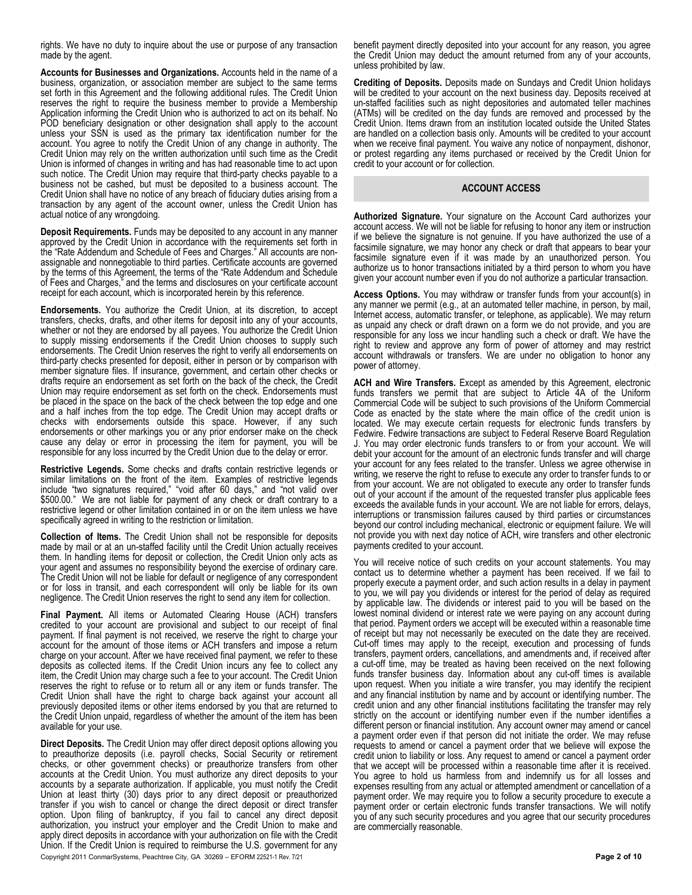rights. We have no duty to inquire about the use or purpose of any transaction made by the agent.

**Accounts for Businesses and Organizations.** Accounts held in the name of a business, organization, or association member are subject to the same terms set forth in this Agreement and the following additional rules. The Credit Union reserves the right to require the business member to provide a Membership Application informing the Credit Union who is authorized to act on its behalf. No POD beneficiary designation or other designation shall apply to the account unless your SSN is used as the primary tax identification number for the account. You agree to notify the Credit Union of any change in authority. The Credit Union may rely on the written authorization until such time as the Credit Union is informed of changes in writing and has had reasonable time to act upon such notice. The Credit Union may require that third-party checks payable to a business not be cashed, but must be deposited to a business account. The Credit Union shall have no notice of any breach of fiduciary duties arising from a transaction by any agent of the account owner, unless the Credit Union has actual notice of any wrongdoing.

**Deposit Requirements.** Funds may be deposited to any account in any manner approved by the Credit Union in accordance with the requirements set forth in the "Rate Addendum and Schedule of Fees and Charges." All accounts are nonassignable and nonnegotiable to third parties. Certificate accounts are governed by the terms of this Agreement, the terms of the "Rate Addendum and Schedule of Fees and Charges," and the terms and disclosures on your certificate account receipt for each account, which is incorporated herein by this reference.

**Endorsements.** You authorize the Credit Union, at its discretion, to accept transfers, checks, drafts, and other items for deposit into any of your accounts, whether or not they are endorsed by all payees. You authorize the Credit Union to supply missing endorsements if the Credit Union chooses to supply such endorsements. The Credit Union reserves the right to verify all endorsements on third-party checks presented for deposit, either in person or by comparison with member signature files. If insurance, government, and certain other checks or drafts require an endorsement as set forth on the back of the check, the Credit Union may require endorsement as set forth on the check. Endorsements must be placed in the space on the back of the check between the top edge and one and a half inches from the top edge. The Credit Union may accept drafts or checks with endorsements outside this space. However, if any such endorsements or other markings you or any prior endorser make on the check cause any delay or error in processing the item for payment, you will be responsible for any loss incurred by the Credit Union due to the delay or error.

**Restrictive Legends.** Some checks and drafts contain restrictive legends or similar limitations on the front of the item. Examples of restrictive legends include "two signatures required," "void after 60 days," and "not valid over \$500.00." We are not liable for payment of any check or draft contrary to a restrictive legend or other limitation contained in or on the item unless we have specifically agreed in writing to the restriction or limitation.

**Collection of Items.** The Credit Union shall not be responsible for deposits made by mail or at an un-staffed facility until the Credit Union actually receives them. In handling items for deposit or collection, the Credit Union only acts as your agent and assumes no responsibility beyond the exercise of ordinary care. The Credit Union will not be liable for default or negligence of any correspondent or for loss in transit, and each correspondent will only be liable for its own negligence. The Credit Union reserves the right to send any item for collection.

**Final Payment.** All items or Automated Clearing House (ACH) transfers credited to your account are provisional and subject to our receipt of final payment. If final payment is not received, we reserve the right to charge your account for the amount of those items or ACH transfers and impose a return charge on your account. After we have received final payment, we refer to these deposits as collected items. If the Credit Union incurs any fee to collect any item, the Credit Union may charge such a fee to your account. The Credit Union reserves the right to refuse or to return all or any item or funds transfer. The Credit Union shall have the right to charge back against your account all previously deposited items or other items endorsed by you that are returned to the Credit Union unpaid, regardless of whether the amount of the item has been available for your use.

Copyright 2011 ConmarSystems, Peachtree City, GA 30269 – EFORM 22521-1 Rev. 7/21 **Page 2 of 10 Direct Deposits.** The Credit Union may offer direct deposit options allowing you to preauthorize deposits (i.e. payroll checks, Social Security or retirement checks, or other government checks) or preauthorize transfers from other accounts at the Credit Union. You must authorize any direct deposits to your accounts by a separate authorization. If applicable, you must notify the Credit Union at least thirty (30) days prior to any direct deposit or preauthorized transfer if you wish to cancel or change the direct deposit or direct transfer option. Upon filing of bankruptcy, if you fail to cancel any direct deposit authorization, you instruct your employer and the Credit Union to make and apply direct deposits in accordance with your authorization on file with the Credit Union. If the Credit Union is required to reimburse the U.S. government for any

benefit payment directly deposited into your account for any reason, you agree the Credit Union may deduct the amount returned from any of your accounts, unless prohibited by law.

**Crediting of Deposits.** Deposits made on Sundays and Credit Union holidays will be credited to your account on the next business day. Deposits received at un-staffed facilities such as night depositories and automated teller machines (ATMs) will be credited on the day funds are removed and processed by the Credit Union. Items drawn from an institution located outside the United States are handled on a collection basis only. Amounts will be credited to your account when we receive final payment. You waive any notice of nonpayment, dishonor, or protest regarding any items purchased or received by the Credit Union for credit to your account or for collection.

#### **ACCOUNT ACCESS**

**Authorized Signature.** Your signature on the Account Card authorizes your account access. We will not be liable for refusing to honor any item or instruction if we believe the signature is not genuine. If you have authorized the use of a facsimile signature, we may honor any check or draft that appears to bear your facsimile signature even if it was made by an unauthorized person. You authorize us to honor transactions initiated by a third person to whom you have given your account number even if you do not authorize a particular transaction.

**Access Options.** You may withdraw or transfer funds from your account(s) in any manner we permit (e.g., at an automated teller machine, in person, by mail, Internet access, automatic transfer, or telephone, as applicable). We may return as unpaid any check or draft drawn on a form we do not provide, and you are responsible for any loss we incur handling such a check or draft. We have the right to review and approve any form of power of attorney and may restrict account withdrawals or transfers. We are under no obligation to honor any power of attorney.

**ACH and Wire Transfers.** Except as amended by this Agreement, electronic funds transfers we permit that are subject to Article 4A of the Uniform Commercial Code will be subject to such provisions of the Uniform Commercial Code as enacted by the state where the main office of the credit union is located. We may execute certain requests for electronic funds transfers by Fedwire. Fedwire transactions are subject to Federal Reserve Board Regulation J. You may order electronic funds transfers to or from your account. We will debit your account for the amount of an electronic funds transfer and will charge your account for any fees related to the transfer. Unless we agree otherwise in writing, we reserve the right to refuse to execute any order to transfer funds to or from your account. We are not obligated to execute any order to transfer funds out of your account if the amount of the requested transfer plus applicable fees exceeds the available funds in your account. We are not liable for errors, delays, interruptions or transmission failures caused by third parties or circumstances beyond our control including mechanical, electronic or equipment failure. We will not provide you with next day notice of ACH, wire transfers and other electronic payments credited to your account.

You will receive notice of such credits on your account statements. You may contact us to determine whether a payment has been received. If we fail to properly execute a payment order, and such action results in a delay in payment to you, we will pay you dividends or interest for the period of delay as required by applicable law. The dividends or interest paid to you will be based on the lowest nominal dividend or interest rate we were paying on any account during that period. Payment orders we accept will be executed within a reasonable time of receipt but may not necessarily be executed on the date they are received. Cut-off times may apply to the receipt, execution and processing of funds transfers, payment orders, cancellations, and amendments and, if received after a cut-off time, may be treated as having been received on the next following funds transfer business day. Information about any cut-off times is available upon request. When you initiate a wire transfer, you may identify the recipient and any financial institution by name and by account or identifying number. The credit union and any other financial institutions facilitating the transfer may rely strictly on the account or identifying number even if the number identifies a different person or financial institution. Any account owner may amend or cancel a payment order even if that person did not initiate the order. We may refuse requests to amend or cancel a payment order that we believe will expose the credit union to liability or loss. Any request to amend or cancel a payment order that we accept will be processed within a reasonable time after it is received. You agree to hold us harmless from and indemnify us for all losses and expenses resulting from any actual or attempted amendment or cancellation of a payment order. We may require you to follow a security procedure to execute a payment order or certain electronic funds transfer transactions. We will notify you of any such security procedures and you agree that our security procedures are commercially reasonable.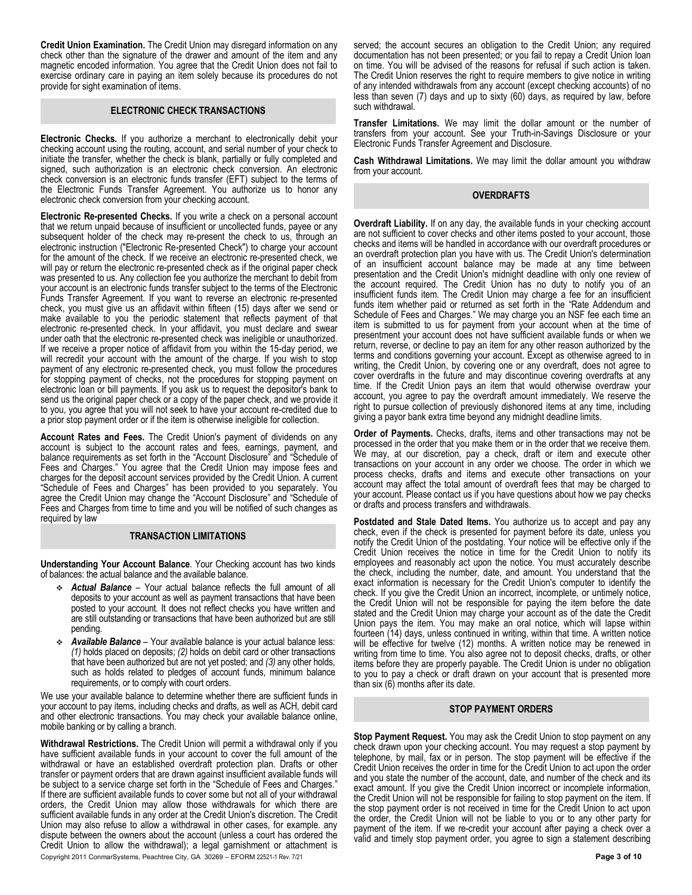**Credit Union Examination.** The Credit Union may disregard information on any check other than the signature of the drawer and amount of the item and any magnetic encoded information. You agree that the Credit Union does not fail to exercise ordinary care in paying an item solely because its procedures do not provide for sight examination of items.

# **ELECTRONIC CHECK TRANSACTIONS**

**Electronic Checks.** If you authorize a merchant to electronically debit your checking account using the routing, account, and serial number of your check to initiate the transfer, whether the check is blank, partially or fully completed and signed, such authorization is an electronic check conversion. An electronic check conversion is an electronic funds transfer (EFT) subject to the terms of the Electronic Funds Transfer Agreement. You authorize us to honor any electronic check conversion from your checking account.

**Electronic Re-presented Checks.** If you write a check on a personal account that we return unpaid because of insufficient or uncollected funds, payee or any subsequent holder of the check may re-present the check to us, through an electronic instruction ("Electronic Re-presented Check") to charge your account for the amount of the check. If we receive an electronic re-presented check, we will pay or return the electronic re-presented check as if the original paper check was presented to us. Any collection fee you authorize the merchant to debit from your account is an electronic funds transfer subject to the terms of the Electronic Funds Transfer Agreement. If you want to reverse an electronic re-presented check, you must give us an affidavit within fifteen (15) days after we send or make available to you the periodic statement that reflects payment of that electronic re-presented check. In your affidavit, you must declare and swear under oath that the electronic re-presented check was ineligible or unauthorized. If we receive a proper notice of affidavit from you within the 15-day period, we will recredit your account with the amount of the charge. If you wish to stop payment of any electronic re-presented check, you must follow the procedures for stopping payment of checks, not the procedures for stopping payment on electronic loan or bill payments. If you ask us to request the depositor's bank to send us the original paper check or a copy of the paper check, and we provide it to you, you agree that you will not seek to have your account re-credited due to a prior stop payment order or if the item is otherwise ineligible for collection.

**Account Rates and Fees.** The Credit Union's payment of dividends on any account is subject to the account rates and fees, earnings, payment, and balance requirements as set forth in the "Account Disclosure" and "Schedule of Fees and Charges." You agree that the Credit Union may impose fees and charges for the deposit account services provided by the Credit Union. A current "Schedule of Fees and Charges" has been provided to you separately. You agree the Credit Union may change the "Account Disclosure" and "Schedule of Fees and Charges from time to time and you will be notified of such changes as required by law

#### **TRANSACTION LIMITATIONS**

**Understanding Your Account Balance**. Your Checking account has two kinds of balances: the actual balance and the available balance.

- *Actual Balance* Your actual balance reflects the full amount of all deposits to your account as well as payment transactions that have been posted to your account. It does not reflect checks you have written and are still outstanding or transactions that have been authorized but are still pending.
- *Available Balance* Your available balance is your actual balance less: *(1)* holds placed on deposits; *(2)* holds on debit card or other transactions that have been authorized but are not yet posted; and *(3)* any other holds, such as holds related to pledges of account funds, minimum balance requirements, or to comply with court orders.

We use your available balance to determine whether there are sufficient funds in your account to pay items, including checks and drafts, as well as ACH, debit card and other electronic transactions. You may check your available balance online, mobile banking or by calling a branch.

Copyright 2011 ConmarSystems, Peachtree City, GA 30269 – EFORM 22521-1 Rev. 7/21 **Page 3 of 10 Withdrawal Restrictions.** The Credit Union will permit a withdrawal only if you have sufficient available funds in your account to cover the full amount of the withdrawal or have an established overdraft protection plan. Drafts or other transfer or payment orders that are drawn against insufficient available funds will be subject to a service charge set forth in the "Schedule of Fees and Charges." If there are sufficient available funds to cover some but not all of your withdrawal orders, the Credit Union may allow those withdrawals for which there are sufficient available funds in any order at the Credit Union's discretion. The Credit Union may also refuse to allow a withdrawal in other cases, for example. any dispute between the owners about the account (unless a court has ordered the Credit Union to allow the withdrawal); a legal garnishment or attachment is

served; the account secures an obligation to the Credit Union; any required documentation has not been presented; or you fail to repay a Credit Union loan on time. You will be advised of the reasons for refusal if such action is taken. The Credit Union reserves the right to require members to give notice in writing of any intended withdrawals from any account (except checking accounts) of no less than seven (7) days and up to sixty (60) days, as required by law, before such withdrawal.

**Transfer Limitations.** We may limit the dollar amount or the number of transfers from your account. See your Truth-in-Savings Disclosure or your Electronic Funds Transfer Agreement and Disclosure.

**Cash Withdrawal Limitations.** We may limit the dollar amount you withdraw from your account.

### **OVERDRAFTS**

**Overdraft Liability.** If on any day, the available funds in your checking account are not sufficient to cover checks and other items posted to your account, those checks and items will be handled in accordance with our overdraft procedures or an overdraft protection plan you have with us. The Credit Union's determination of an insufficient account balance may be made at any time between presentation and the Credit Union's midnight deadline with only one review of the account required. The Credit Union has no duty to notify you of an insufficient funds item. The Credit Union may charge a fee for an insufficient funds item whether paid or returned as set forth in the "Rate Addendum and Schedule of Fees and Charges." We may charge you an NSF fee each time an item is submitted to us for payment from your account when at the time of presentment your account does not have sufficient available funds or when we return, reverse, or decline to pay an item for any other reason authorized by the terms and conditions governing your account. Except as otherwise agreed to in writing, the Credit Union, by covering one or any overdraft, does not agree to cover overdrafts in the future and may discontinue covering overdrafts at any time. If the Credit Union pays an item that would otherwise overdraw your account, you agree to pay the overdraft amount immediately. We reserve the right to pursue collection of previously dishonored items at any time, including giving a payor bank extra time beyond any midnight deadline limits.

**Order of Payments.** Checks, drafts, items and other transactions may not be processed in the order that you make them or in the order that we receive them. We may, at our discretion, pay a check, draft or item and execute other transactions on your account in any order we choose. The order in which we process checks, drafts and items and execute other transactions on your account may affect the total amount of overdraft fees that may be charged to your account. Please contact us if you have questions about how we pay checks or drafts and process transfers and withdrawals.

**Postdated and Stale Dated Items.** You authorize us to accept and pay any check, even if the check is presented for payment before its date, unless you notify the Credit Union of the postdating. Your notice will be effective only if the Credit Union receives the notice in time for the Credit Union to notify its employees and reasonably act upon the notice. You must accurately describe the check, including the number, date, and amount. You understand that the exact information is necessary for the Credit Union's computer to identify the check. If you give the Credit Union an incorrect, incomplete, or untimely notice, the Credit Union will not be responsible for paying the item before the date stated and the Credit Union may charge your account as of the date the Credit Union pays the item. You may make an oral notice, which will lapse within fourteen (14) days, unless continued in writing, within that time. A written notice will be effective for twelve (12) months. A written notice may be renewed in writing from time to time. You also agree not to deposit checks, drafts, or other items before they are properly payable. The Credit Union is under no obligation to you to pay a check or draft drawn on your account that is presented more than six (6) months after its date.

#### **STOP PAYMENT ORDERS**

**Stop Payment Request.** You may ask the Credit Union to stop payment on any check drawn upon your checking account. You may request a stop payment by telephone, by mail, fax or in person. The stop payment will be effective if the Credit Union receives the order in time for the Credit Union to act upon the order and you state the number of the account, date, and number of the check and its exact amount. If you give the Credit Union incorrect or incomplete information, the Credit Union will not be responsible for failing to stop payment on the item. If the stop payment order is not received in time for the Credit Union to act upon the order, the Credit Union will not be liable to you or to any other party for payment of the item. If we re-credit your account after paying a check over a valid and timely stop payment order, you agree to sign a statement describing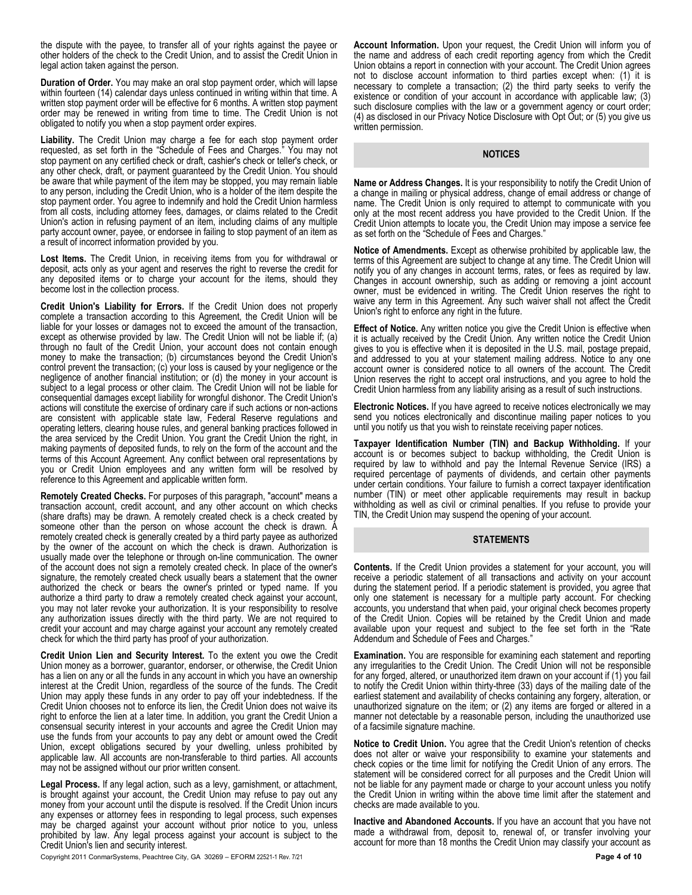the dispute with the payee, to transfer all of your rights against the payee or other holders of the check to the Credit Union, and to assist the Credit Union in legal action taken against the person.

**Duration of Order.** You may make an oral stop payment order, which will lapse within fourteen (14) calendar days unless continued in writing within that time. A written stop payment order will be effective for 6 months. A written stop payment order may be renewed in writing from time to time. The Credit Union is not obligated to notify you when a stop payment order expires.

**Liability.** The Credit Union may charge a fee for each stop payment order requested, as set forth in the "Schedule of Fees and Charges." You may not stop payment on any certified check or draft, cashier's check or teller's check, or any other check, draft, or payment guaranteed by the Credit Union. You should be aware that while payment of the item may be stopped, you may remain liable to any person, including the Credit Union, who is a holder of the item despite the stop payment order. You agree to indemnify and hold the Credit Union harmless from all costs, including attorney fees, damages, or claims related to the Credit Union's action in refusing payment of an item, including claims of any multiple party account owner, payee, or endorsee in failing to stop payment of an item as a result of incorrect information provided by you.

Lost Items. The Credit Union, in receiving items from you for withdrawal or deposit, acts only as your agent and reserves the right to reverse the credit for any deposited items or to charge your account for the items, should they become lost in the collection process.

**Credit Union's Liability for Errors.** If the Credit Union does not properly complete a transaction according to this Agreement, the Credit Union will be liable for your losses or damages not to exceed the amount of the transaction, except as otherwise provided by law. The Credit Union will not be liable if; (a) through no fault of the Credit Union, your account does not contain enough money to make the transaction; (b) circumstances beyond the Credit Union's control prevent the transaction; (c) your loss is caused by your negligence or the negligence of another financial institution; or (d) the money in your account is subject to a legal process or other claim. The Credit Union will not be liable for consequential damages except liability for wrongful dishonor. The Credit Union's actions will constitute the exercise of ordinary care if such actions or non-actions are consistent with applicable state law, Federal Reserve regulations and operating letters, clearing house rules, and general banking practices followed in the area serviced by the Credit Union. You grant the Credit Union the right, in making payments of deposited funds, to rely on the form of the account and the terms of this Account Agreement. Any conflict between oral representations by you or Credit Union employees and any written form will be resolved by reference to this Agreement and applicable written form.

**Remotely Created Checks.** For purposes of this paragraph, "account" means a transaction account, credit account, and any other account on which checks (share drafts) may be drawn. A remotely created check is a check created by someone other than the person on whose account the check is drawn. A remotely created check is generally created by a third party payee as authorized by the owner of the account on which the check is drawn. Authorization is usually made over the telephone or through on-line communication. The owner of the account does not sign a remotely created check. In place of the owner's signature, the remotely created check usually bears a statement that the owner authorized the check or bears the owner's printed or typed name. If you authorize a third party to draw a remotely created check against your account, you may not later revoke your authorization. It is your responsibility to resolve any authorization issues directly with the third party. We are not required to credit your account and may charge against your account any remotely created check for which the third party has proof of your authorization.

**Credit Union Lien and Security Interest.** To the extent you owe the Credit Union money as a borrower, guarantor, endorser, or otherwise, the Credit Union has a lien on any or all the funds in any account in which you have an ownership interest at the Credit Union, regardless of the source of the funds. The Credit Union may apply these funds in any order to pay off your indebtedness. If the Credit Union chooses not to enforce its lien, the Credit Union does not waive its right to enforce the lien at a later time. In addition, you grant the Credit Union a consensual security interest in your accounts and agree the Credit Union may use the funds from your accounts to pay any debt or amount owed the Credit Union, except obligations secured by your dwelling, unless prohibited by applicable law. All accounts are non-transferable to third parties. All accounts may not be assigned without our prior written consent.

**Legal Process.** If any legal action, such as a levy, garnishment, or attachment, is brought against your account, the Credit Union may refuse to pay out any money from your account until the dispute is resolved. If the Credit Union incurs any expenses or attorney fees in responding to legal process, such expenses may be charged against your account without prior notice to you, unless prohibited by law. Any legal process against your account is subject to the Credit Union's lien and security interest.

Copyright 2011 ConmarSystems, Peachtree City, GA 30269 – EFORM 22521-1 Rev. 7/21 **Page 4 of 10**

**Account Information.** Upon your request, the Credit Union will inform you of the name and address of each credit reporting agency from which the Credit Union obtains a report in connection with your account. The Credit Union agrees not to disclose account information to third parties except when: (1) it is necessary to complete a transaction; (2) the third party seeks to verify the existence or condition of your account in accordance with applicable law; (3) such disclosure complies with the law or a government agency or court order; (4) as disclosed in our Privacy Notice Disclosure with Opt Out; or (5) you give us written permission.

#### **NOTICES**

**Name or Address Changes.** It is your responsibility to notify the Credit Union of a change in mailing or physical address, change of email address or change of name. The Credit Union is only required to attempt to communicate with you only at the most recent address you have provided to the Credit Union. If the Credit Union attempts to locate you, the Credit Union may impose a service fee as set forth on the "Schedule of Fees and Charges."

**Notice of Amendments.** Except as otherwise prohibited by applicable law, the terms of this Agreement are subject to change at any time. The Credit Union will notify you of any changes in account terms, rates, or fees as required by law. Changes in account ownership, such as adding or removing a joint account owner, must be evidenced in writing. The Credit Union reserves the right to waive any term in this Agreement. Any such waiver shall not affect the Credit Union's right to enforce any right in the future.

**Effect of Notice.** Any written notice you give the Credit Union is effective when it is actually received by the Credit Union. Any written notice the Credit Union gives to you is effective when it is deposited in the U.S. mail, postage prepaid, and addressed to you at your statement mailing address. Notice to any one account owner is considered notice to all owners of the account. The Credit Union reserves the right to accept oral instructions, and you agree to hold the Credit Union harmless from any liability arising as a result of such instructions.

**Electronic Notices.** If you have agreed to receive notices electronically we may send you notices electronically and discontinue mailing paper notices to you until you notify us that you wish to reinstate receiving paper notices.

**Taxpayer Identification Number (TIN) and Backup Withholding.** If your account is or becomes subject to backup withholding, the Credit Union is required by law to withhold and pay the Internal Revenue Service (IRS) a required percentage of payments of dividends, and certain other payments under certain conditions. Your failure to furnish a correct taxpayer identification number (TIN) or meet other applicable requirements may result in backup withholding as well as civil or criminal penalties. If you refuse to provide your TIN, the Credit Union may suspend the opening of your account.

# **STATEMENTS**

**Contents.** If the Credit Union provides a statement for your account, you will receive a periodic statement of all transactions and activity on your account during the statement period. If a periodic statement is provided, you agree that only one statement is necessary for a multiple party account. For checking accounts, you understand that when paid, your original check becomes property of the Credit Union. Copies will be retained by the Credit Union and made available upon your request and subject to the fee set forth in the "Rate Addendum and Schedule of Fees and Charges."

**Examination.** You are responsible for examining each statement and reporting any irregularities to the Credit Union. The Credit Union will not be responsible for any forged, altered, or unauthorized item drawn on your account if (1) you fail to notify the Credit Union within thirty-three (33) days of the mailing date of the earliest statement and availability of checks containing any forgery, alteration, or unauthorized signature on the item; or (2) any items are forged or altered in a manner not detectable by a reasonable person, including the unauthorized use of a facsimile signature machine.

**Notice to Credit Union.** You agree that the Credit Union's retention of checks does not alter or waive your responsibility to examine your statements and check copies or the time limit for notifying the Credit Union of any errors. The statement will be considered correct for all purposes and the Credit Union will not be liable for any payment made or charge to your account unless you notify the Credit Union in writing within the above time limit after the statement and checks are made available to you.

**Inactive and Abandoned Accounts.** If you have an account that you have not made a withdrawal from, deposit to, renewal of, or transfer involving your account for more than 18 months the Credit Union may classify your account as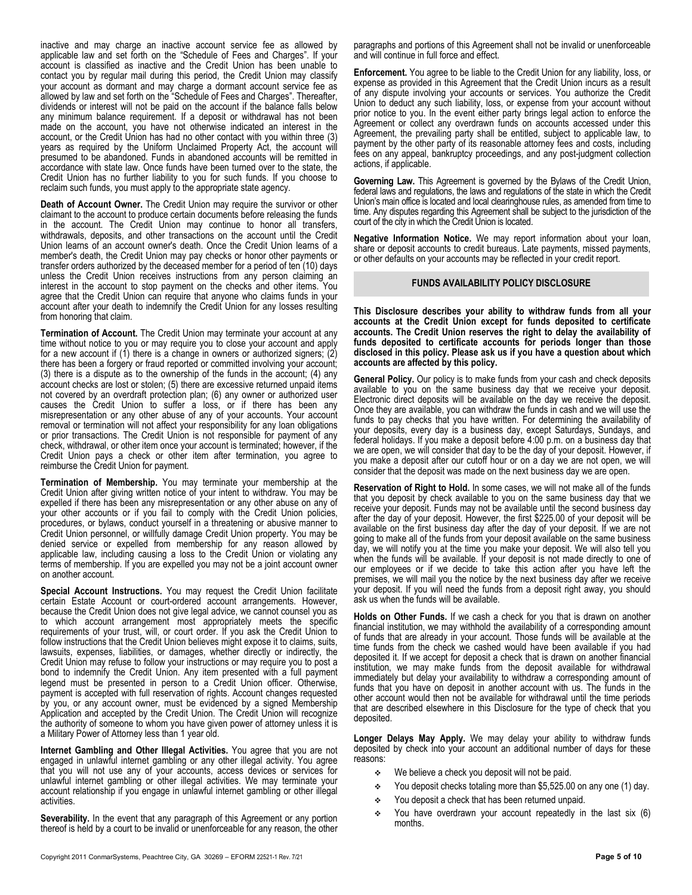inactive and may charge an inactive account service fee as allowed by applicable law and set forth on the "Schedule of Fees and Charges". If your account is classified as inactive and the Credit Union has been unable to contact you by regular mail during this period, the Credit Union may classify your account as dormant and may charge a dormant account service fee as allowed by law and set forth on the "Schedule of Fees and Charges". Thereafter, dividends or interest will not be paid on the account if the balance falls below any minimum balance requirement. If a deposit or withdrawal has not been made on the account, you have not otherwise indicated an interest in the account, or the Credit Union has had no other contact with you within three (3) years as required by the Uniform Unclaimed Property Act, the account will presumed to be abandoned. Funds in abandoned accounts will be remitted in accordance with state law. Once funds have been turned over to the state, the Credit Union has no further liability to you for such funds. If you choose to reclaim such funds, you must apply to the appropriate state agency.

**Death of Account Owner.** The Credit Union may require the survivor or other claimant to the account to produce certain documents before releasing the funds in the account. The Credit Union may continue to honor all transfers, withdrawals, deposits, and other transactions on the account until the Credit Union learns of an account owner's death. Once the Credit Union learns of a member's death, the Credit Union may pay checks or honor other payments or transfer orders authorized by the deceased member for a period of ten (10) days unless the Credit Union receives instructions from any person claiming an interest in the account to stop payment on the checks and other items. You agree that the Credit Union can require that anyone who claims funds in your account after your death to indemnify the Credit Union for any losses resulting from honoring that claim.

**Termination of Account.** The Credit Union may terminate your account at any time without notice to you or may require you to close your account and apply for a new account if (1) there is a change in owners or authorized signers; (2) there has been a forgery or fraud reported or committed involving your account; (3) there is a dispute as to the ownership of the funds in the account; (4) any account checks are lost or stolen; (5) there are excessive returned unpaid items not covered by an overdraft protection plan; (6) any owner or authorized user causes the Credit Union to suffer a loss, or if there has been any misrepresentation or any other abuse of any of your accounts. Your account removal or termination will not affect your responsibility for any loan obligations or prior transactions. The Credit Union is not responsible for payment of any check, withdrawal, or other item once your account is terminated; however, if the Credit Union pays a check or other item after termination, you agree to reimburse the Credit Union for payment.

**Termination of Membership.** You may terminate your membership at the Credit Union after giving written notice of your intent to withdraw. You may be expelled if there has been any misrepresentation or any other abuse on any of your other accounts or if you fail to comply with the Credit Union policies, procedures, or bylaws, conduct yourself in a threatening or abusive manner to Credit Union personnel, or willfully damage Credit Union property. You may be denied service or expelled from membership for any reason allowed by applicable law, including causing a loss to the Credit Union or violating any terms of membership. If you are expelled you may not be a joint account owner on another account.

**Special Account Instructions.** You may request the Credit Union facilitate certain Estate Account or court-ordered account arrangements. However, because the Credit Union does not give legal advice, we cannot counsel you as to which account arrangement most appropriately meets the specific requirements of your trust, will, or court order. If you ask the Credit Union to follow instructions that the Credit Union believes might expose it to claims, suits, lawsuits, expenses, liabilities, or damages, whether directly or indirectly, the Credit Union may refuse to follow your instructions or may require you to post a bond to indemnify the Credit Union. Any item presented with a full payment legend must be presented in person to a Credit Union officer. Otherwise, payment is accepted with full reservation of rights. Account changes requested by you, or any account owner, must be evidenced by a signed Membership Application and accepted by the Credit Union. The Credit Union will recognize the authority of someone to whom you have given power of attorney unless it is a Military Power of Attorney less than 1 year old.

**Internet Gambling and Other Illegal Activities.** You agree that you are not engaged in unlawful internet gambling or any other illegal activity. You agree that you will not use any of your accounts, access devices or services for unlawful internet gambling or other illegal activities. We may terminate your account relationship if you engage in unlawful internet gambling or other illegal activities.

**Severability.** In the event that any paragraph of this Agreement or any portion thereof is held by a court to be invalid or unenforceable for any reason, the other paragraphs and portions of this Agreement shall not be invalid or unenforceable and will continue in full force and effect.

**Enforcement.** You agree to be liable to the Credit Union for any liability, loss, or expense as provided in this Agreement that the Credit Union incurs as a result of any dispute involving your accounts or services. You authorize the Credit Union to deduct any such liability, loss, or expense from your account without prior notice to you. In the event either party brings legal action to enforce the Agreement or collect any overdrawn funds on accounts accessed under this Agreement, the prevailing party shall be entitled, subject to applicable law, to payment by the other party of its reasonable attorney fees and costs, including fees on any appeal, bankruptcy proceedings, and any post-judgment collection actions, if applicable.

**Governing Law.** This Agreement is governed by the Bylaws of the Credit Union, federal laws and regulations, the laws and regulations of the state in which the Credit Union's main office is located and local clearinghouse rules, as amended from time to time. Any disputes regarding this Agreement shall be subject to the jurisdiction of the court of the city in which the Credit Union is located.

**Negative Information Notice.** We may report information about your loan, share or deposit accounts to credit bureaus. Late payments, missed payments, or other defaults on your accounts may be reflected in your credit report.

# **FUNDS AVAILABILITY POLICY DISCLOSURE**

**This Disclosure describes your ability to withdraw funds from all your accounts at the Credit Union except for funds deposited to certificate accounts. The Credit Union reserves the right to delay the availability of funds deposited to certificate accounts for periods longer than those disclosed in this policy. Please ask us if you have a question about which accounts are affected by this policy.**

**General Policy.** Our policy is to make funds from your cash and check deposits available to you on the same business day that we receive your deposit. Electronic direct deposits will be available on the day we receive the deposit. Once they are available, you can withdraw the funds in cash and we will use the funds to pay checks that you have written. For determining the availability of your deposits, every day is a business day, except Saturdays, Sundays, and federal holidays. If you make a deposit before 4:00 p.m. on a business day that we are open, we will consider that day to be the day of your deposit. However, if you make a deposit after our cutoff hour or on a day we are not open, we will consider that the deposit was made on the next business day we are open.

**Reservation of Right to Hold.** In some cases, we will not make all of the funds that you deposit by check available to you on the same business day that we receive your deposit. Funds may not be available until the second business day after the day of your deposit. However, the first \$225.00 of your deposit will be available on the first business day after the day of your deposit. If we are not going to make all of the funds from your deposit available on the same business day, we will notify you at the time you make your deposit. We will also tell you when the funds will be available. If your deposit is not made directly to one of our employees or if we decide to take this action after you have left the premises, we will mail you the notice by the next business day after we receive your deposit. If you will need the funds from a deposit right away, you should ask us when the funds will be available.

**Holds on Other Funds.** If we cash a check for you that is drawn on another financial institution, we may withhold the availability of a corresponding amount of funds that are already in your account. Those funds will be available at the time funds from the check we cashed would have been available if you had deposited it. If we accept for deposit a check that is drawn on another financial institution, we may make funds from the deposit available for withdrawal immediately but delay your availability to withdraw a corresponding amount of funds that you have on deposit in another account with us. The funds in the other account would then not be available for withdrawal until the time periods that are described elsewhere in this Disclosure for the type of check that you deposited.

**Longer Delays May Apply.** We may delay your ability to withdraw funds deposited by check into your account an additional number of days for these reasons:

- $\div$  We believe a check you deposit will not be paid.
- You deposit checks totaling more than \$5,525.00 on any one (1) day.
- \* You deposit a check that has been returned unpaid.
- You have overdrawn your account repeatedly in the last six (6) months.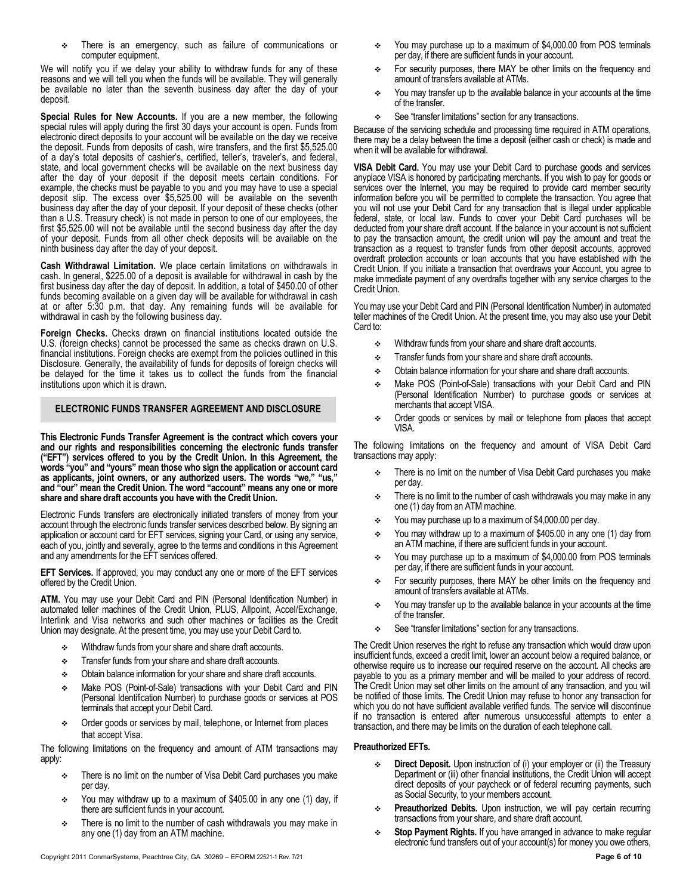There is an emergency, such as failure of communications or computer equipment.

We will notify you if we delay your ability to withdraw funds for any of these reasons and we will tell you when the funds will be available. They will generally be available no later than the seventh business day after the day of your deposit.

**Special Rules for New Accounts.** If you are a new member, the following special rules will apply during the first 30 days your account is open. Funds from electronic direct deposits to your account will be available on the day we receive the deposit. Funds from deposits of cash, wire transfers, and the first \$5,525.00 of a day's total deposits of cashier's, certified, teller's, traveler's, and federal, state, and local government checks will be available on the next business day after the day of your deposit if the deposit meets certain conditions. For example, the checks must be payable to you and you may have to use a special deposit slip. The excess over \$5,525.00 will be available on the seventh business day after the day of your deposit. If your deposit of these checks (other than a U.S. Treasury check) is not made in person to one of our employees, the first \$5,525.00 will not be available until the second business day after the day of your deposit. Funds from all other check deposits will be available on the ninth business day after the day of your deposit.

**Cash Withdrawal Limitation.** We place certain limitations on withdrawals in cash. In general, \$225.00 of a deposit is available for withdrawal in cash by the first business day after the day of deposit. In addition, a total of \$450.00 of other funds becoming available on a given day will be available for withdrawal in cash at or after 5:30 p.m. that day. Any remaining funds will be available for withdrawal in cash by the following business day.

**Foreign Checks.** Checks drawn on financial institutions located outside the U.S. (foreign checks) cannot be processed the same as checks drawn on U.S. financial institutions. Foreign checks are exempt from the policies outlined in this Disclosure. Generally, the availability of funds for deposits of foreign checks will be delayed for the time it takes us to collect the funds from the financial institutions upon which it is drawn.

# **ELECTRONIC FUNDS TRANSFER AGREEMENT AND DISCLOSURE**

**This Electronic Funds Transfer Agreement is the contract which covers your and our rights and responsibilities concerning the electronic funds transfer ("EFT") services offered to you by the Credit Union. In this Agreement, the words "you" and "yours" mean those who sign the application or account card as applicants, joint owners, or any authorized users. The words "we," "us," and "our" mean the Credit Union. The word "account" means any one or more share and share draft accounts you have with the Credit Union.**

Electronic Funds transfers are electronically initiated transfers of money from your account through the electronic funds transfer services described below. By signing an application or account card for EFT services, signing your Card, or using any service, each of you, jointly and severally, agree to the terms and conditions in this Agreement and any amendments for the EFT services offered.

**EFT Services.** If approved, you may conduct any one or more of the EFT services offered by the Credit Union.

**ATM.** You may use your Debit Card and PIN (Personal Identification Number) in automated teller machines of the Credit Union, PLUS, Allpoint, Accel/Exchange, Interlink and Visa networks and such other machines or facilities as the Credit Union may designate. At the present time, you may use your Debit Card to.

- **Withdraw funds from your share and share draft accounts.**
- Transfer funds from your share and share draft accounts.
- Obtain balance information for your share and share draft accounts.
- Make POS (Point-of-Sale) transactions with your Debit Card and PIN (Personal Identification Number) to purchase goods or services at POS terminals that accept your Debit Card.
- Order goods or services by mail, telephone, or Internet from places that accept Visa.

The following limitations on the frequency and amount of ATM transactions may apply:

- There is no limit on the number of Visa Debit Card purchases you make per day.
- $\div$  You may withdraw up to a maximum of \$405.00 in any one (1) day, if there are sufficient funds in your account.
- $\div$  There is no limit to the number of cash withdrawals you may make in any one (1) day from an ATM machine.
- You may purchase up to a maximum of \$4,000.00 from POS terminals per day, if there are sufficient funds in your account.
- For security purposes, there MAY be other limits on the frequency and amount of transfers available at ATMs.
- \* You may transfer up to the available balance in your accounts at the time of the transfer.
- See "transfer limitations" section for any transactions.

Because of the servicing schedule and processing time required in ATM operations, there may be a delay between the time a deposit (either cash or check) is made and when it will be available for withdrawal.

**VISA Debit Card.** You may use your Debit Card to purchase goods and services anyplace VISA is honored by participating merchants. If you wish to pay for goods or services over the Internet, you may be required to provide card member security information before you will be permitted to complete the transaction. You agree that you will not use your Debit Card for any transaction that is illegal under applicable federal, state, or local law. Funds to cover your Debit Card purchases will be deducted from your share draft account. If the balance in your account is not sufficient to pay the transaction amount, the credit union will pay the amount and treat the transaction as a request to transfer funds from other deposit accounts, approved overdraft protection accounts or loan accounts that you have established with the Credit Union. If you initiate a transaction that overdraws your Account, you agree to make immediate payment of any overdrafts together with any service charges to the Credit Union.

You may use your Debit Card and PIN (Personal Identification Number) in automated teller machines of the Credit Union. At the present time, you may also use your Debit Card to:

- Withdraw funds from your share and share draft accounts.
- Transfer funds from your share and share draft accounts.
- $\div$  Obtain balance information for your share and share draft accounts.
- Make POS (Point-of-Sale) transactions with your Debit Card and PIN (Personal Identification Number) to purchase goods or services at merchants that accept VISA.
- Order goods or services by mail or telephone from places that accept VISA.

The following limitations on the frequency and amount of VISA Debit Card transactions may apply:

- There is no limit on the number of Visa Debit Card purchases you make per day.
- There is no limit to the number of cash withdrawals you may make in any one (1) day from an ATM machine.
- You may purchase up to a maximum of \$4,000.00 per day.
- You may withdraw up to a maximum of \$405.00 in any one (1) day from an ATM machine, if there are sufficient funds in your account.
- You may purchase up to a maximum of \$4,000.00 from POS terminals per day, if there are sufficient funds in your account.
- For security purposes, there MAY be other limits on the frequency and amount of transfers available at ATMs.
- You may transfer up to the available balance in your accounts at the time of the transfer.
- See "transfer limitations" section for any transactions.

The Credit Union reserves the right to refuse any transaction which would draw upon insufficient funds, exceed a credit limit, lower an account below a required balance, or otherwise require us to increase our required reserve on the account. All checks are payable to you as a primary member and will be mailed to your address of record. The Credit Union may set other limits on the amount of any transaction, and you will be notified of those limits. The Credit Union may refuse to honor any transaction for which you do not have sufficient available verified funds. The service will discontinue if no transaction is entered after numerous unsuccessful attempts to enter a transaction, and there may be limits on the duration of each telephone call.

# **Preauthorized EFTs.**

- **Direct Deposit.** Upon instruction of (i) your employer or (ii) the Treasury Department or (iii) other financial institutions, the Credit Union will accept direct deposits of your paycheck or of federal recurring payments, such as Social Security, to your members account.
- Preauthorized Debits. Upon instruction, we will pay certain recurring transactions from your share, and share draft account.
- **Stop Payment Rights.** If you have arranged in advance to make regular electronic fund transfers out of your account(s) for money you owe others,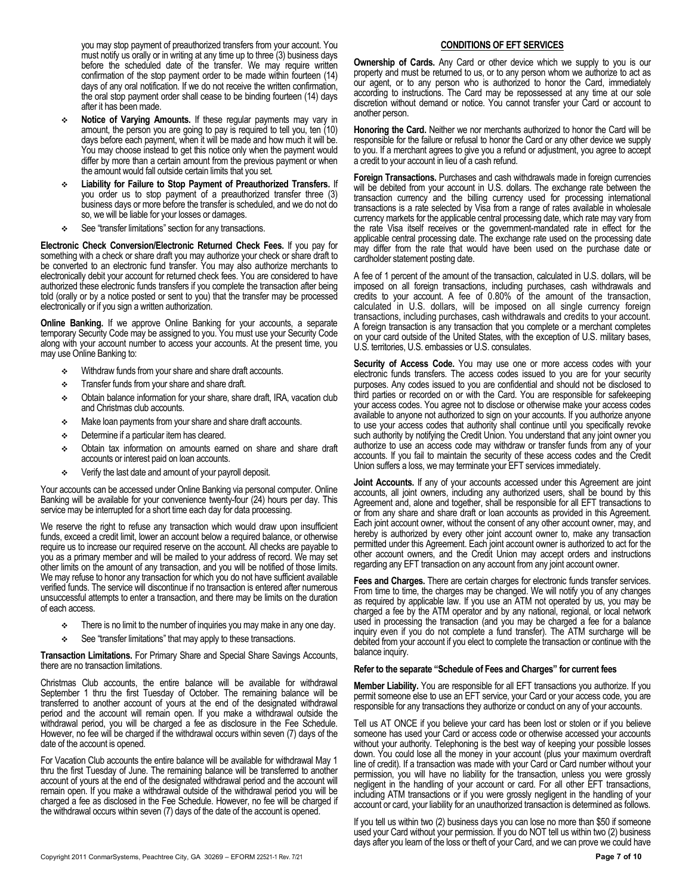you may stop payment of preauthorized transfers from your account. You must notify us orally or in writing at any time up to three (3) business days before the scheduled date of the transfer. We may require written confirmation of the stop payment order to be made within fourteen (14) days of any oral notification. If we do not receive the written confirmation, the oral stop payment order shall cease to be binding fourteen (14) days after it has been made.

- **Notice of Varying Amounts.** If these regular payments may vary in amount, the person you are going to pay is required to tell you, ten (10) days before each payment, when it will be made and how much it will be. You may choose instead to get this notice only when the payment would differ by more than a certain amount from the previous payment or when the amount would fall outside certain limits that you set.
- **Liability for Failure to Stop Payment of Preauthorized Transfers.** If you order us to stop payment of a preauthorized transfer three (3) business days or more before the transfer is scheduled, and we do not do so, we will be liable for your losses or damages.
- See "transfer limitations" section for any transactions.

**Electronic Check Conversion/Electronic Returned Check Fees.** If you pay for something with a check or share draft you may authorize your check or share draft to be converted to an electronic fund transfer. You may also authorize merchants to electronically debit your account for returned check fees. You are considered to have authorized these electronic funds transfers if you complete the transaction after being told (orally or by a notice posted or sent to you) that the transfer may be processed electronically or if you sign a written authorization.

**Online Banking.** If we approve Online Banking for your accounts, a separate temporary Security Code may be assigned to you. You must use your Security Code along with your account number to access your accounts. At the present time, you may use Online Banking to:

- $\div$  Withdraw funds from your share and share draft accounts.
- Transfer funds from your share and share draft.
- Obtain balance information for your share, share draft, IRA, vacation club and Christmas club accounts.
- Make loan payments from your share and share draft accounts.
- $\div$  Determine if a particular item has cleared.
- Obtain tax information on amounts earned on share and share draft accounts or interest paid on loan accounts.
- Verify the last date and amount of your payroll deposit.

Your accounts can be accessed under Online Banking via personal computer. Online Banking will be available for your convenience twenty-four (24) hours per day. This service may be interrupted for a short time each day for data processing.

We reserve the right to refuse any transaction which would draw upon insufficient funds, exceed a credit limit, lower an account below a required balance, or otherwise require us to increase our required reserve on the account. All checks are payable to you as a primary member and will be mailed to your address of record. We may set other limits on the amount of any transaction, and you will be notified of those limits. We may refuse to honor any transaction for which you do not have sufficient available verified funds. The service will discontinue if no transaction is entered after numerous unsuccessful attempts to enter a transaction, and there may be limits on the duration of each access.

- $\div$  There is no limit to the number of inquiries you may make in any one day.
- See "transfer limitations" that may apply to these transactions.

**Transaction Limitations.** For Primary Share and Special Share Savings Accounts, there are no transaction limitations.

Christmas Club accounts, the entire balance will be available for withdrawal September 1 thru the first Tuesday of October. The remaining balance will be transferred to another account of yours at the end of the designated withdrawal period and the account will remain open. If you make a withdrawal outside the withdrawal period, you will be charged a fee as disclosure in the Fee Schedule. However, no fee will be charged if the withdrawal occurs within seven (7) days of the date of the account is opened.

For Vacation Club accounts the entire balance will be available for withdrawal May 1 thru the first Tuesday of June. The remaining balance will be transferred to another account of yours at the end of the designated withdrawal period and the account will remain open. If you make a withdrawal outside of the withdrawal period you will be charged a fee as disclosed in the Fee Schedule. However, no fee will be charged if the withdrawal occurs within seven (7) days of the date of the account is opened.

### **CONDITIONS OF EFT SERVICES**

**Ownership of Cards.** Any Card or other device which we supply to you is our property and must be returned to us, or to any person whom we authorize to act as our agent, or to any person who is authorized to honor the Card, immediately according to instructions. The Card may be repossessed at any time at our sole discretion without demand or notice. You cannot transfer your Card or account to another person.

**Honoring the Card.** Neither we nor merchants authorized to honor the Card will be responsible for the failure or refusal to honor the Card or any other device we supply to you. If a merchant agrees to give you a refund or adjustment, you agree to accept a credit to your account in lieu of a cash refund.

**Foreign Transactions.** Purchases and cash withdrawals made in foreign currencies will be debited from your account in U.S. dollars. The exchange rate between the transaction currency and the billing currency used for processing international transactions is a rate selected by Visa from a range of rates available in wholesale currency markets for the applicable central processing date, which rate may vary from the rate Visa itself receives or the government-mandated rate in effect for the applicable central processing date. The exchange rate used on the processing date may differ from the rate that would have been used on the purchase date or cardholder statement posting date.

A fee of 1 percent of the amount of the transaction, calculated in U.S. dollars, will be imposed on all foreign transactions, including purchases, cash withdrawals and credits to your account. A fee of 0.80% of the amount of the transaction, calculated in U.S. dollars, will be imposed on all single currency foreign transactions, including purchases, cash withdrawals and credits to your account. A foreign transaction is any transaction that you complete or a merchant completes on your card outside of the United States, with the exception of U.S. military bases, U.S. territories, U.S. embassies or U.S. consulates.

**Security of Access Code.** You may use one or more access codes with your electronic funds transfers. The access codes issued to you are for your security purposes. Any codes issued to you are confidential and should not be disclosed to third parties or recorded on or with the Card. You are responsible for safekeeping your access codes. You agree not to disclose or otherwise make your access codes available to anyone not authorized to sign on your accounts. If you authorize anyone to use your access codes that authority shall continue until you specifically revoke such authority by notifying the Credit Union. You understand that any joint owner you authorize to use an access code may withdraw or transfer funds from any of your accounts. If you fail to maintain the security of these access codes and the Credit Union suffers a loss, we may terminate your EFT services immediately.

**Joint Accounts.** If any of your accounts accessed under this Agreement are joint accounts, all joint owners, including any authorized users, shall be bound by this Agreement and, alone and together, shall be responsible for all EFT transactions to or from any share and share draft or loan accounts as provided in this Agreement. Each joint account owner, without the consent of any other account owner, may, and hereby is authorized by every other joint account owner to, make any transaction permitted under this Agreement. Each joint account owner is authorized to act for the other account owners, and the Credit Union may accept orders and instructions regarding any EFT transaction on any account from any joint account owner.

**Fees and Charges.** There are certain charges for electronic funds transfer services. From time to time, the charges may be changed. We will notify you of any changes as required by applicable law. If you use an ATM not operated by us, you may be charged a fee by the ATM operator and by any national, regional, or local network used in processing the transaction (and you may be charged a fee for a balance inquiry even if you do not complete a fund transfer). The ATM surcharge will be debited from your account if you elect to complete the transaction or continue with the balance inquiry.

#### **Refer to the separate "Schedule of Fees and Charges" for current fees**

**Member Liability.** You are responsible for all EFT transactions you authorize. If you permit someone else to use an EFT service, your Card or your access code, you are responsible for any transactions they authorize or conduct on any of your accounts.

Tell us AT ONCE if you believe your card has been lost or stolen or if you believe someone has used your Card or access code or otherwise accessed your accounts without your authority. Telephoning is the best way of keeping your possible losses down. You could lose all the money in your account (plus your maximum overdraft line of credit). If a transaction was made with your Card or Card number without your permission, you will have no liability for the transaction, unless you were grossly negligent in the handling of your account or card. For all other EFT transactions, including ATM transactions or if you were grossly negligent in the handling of your account or card, your liability for an unauthorized transaction is determined as follows.

If you tell us within two (2) business days you can lose no more than \$50 if someone used your Card without your permission. If you do NOT tell us within two (2) business days after you learn of the loss or theft of your Card, and we can prove we could have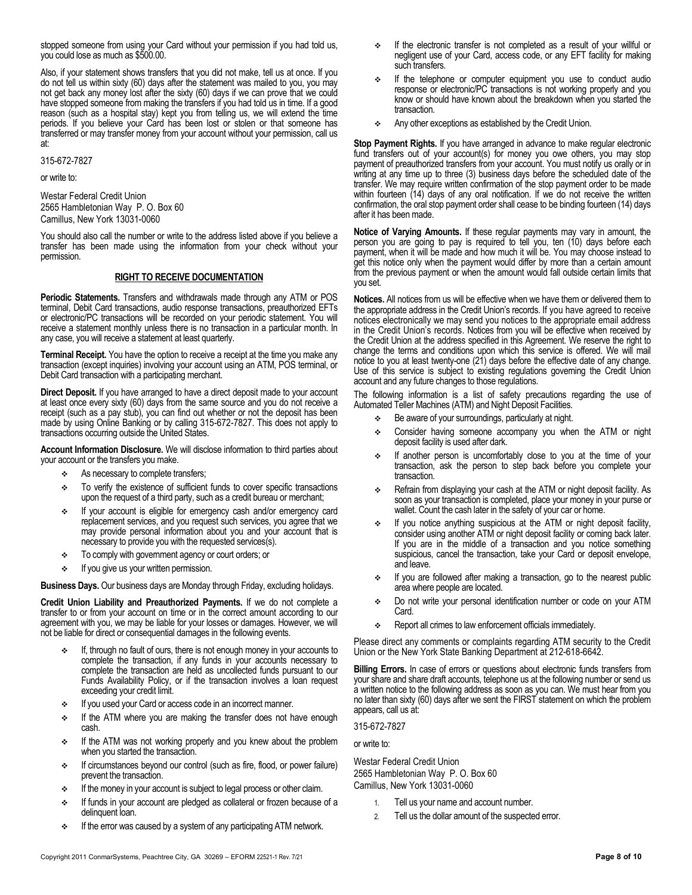stopped someone from using your Card without your permission if you had told us, you could lose as much as \$500.00.

Also, if your statement shows transfers that you did not make, tell us at once. If you do not tell us within sixty (60) days after the statement was mailed to you, you may not get back any money lost after the sixty (60) days if we can prove that we could have stopped someone from making the transfers if you had told us in time. If a good reason (such as a hospital stay) kept you from telling us, we will extend the time periods. If you believe your Card has been lost or stolen or that someone has transferred or may transfer money from your account without your permission, call us at:

315-672-7827

or write to:

Westar Federal Credit Union 2565 Hambletonian Way P. O. Box 60 Camillus, New York 13031-0060

You should also call the number or write to the address listed above if you believe a transfer has been made using the information from your check without your permission.

# **RIGHT TO RECEIVE DOCUMENTATION**

**Periodic Statements.** Transfers and withdrawals made through any ATM or POS terminal, Debit Card transactions, audio response transactions, preauthorized EFTs or electronic/PC transactions will be recorded on your periodic statement. You will receive a statement monthly unless there is no transaction in a particular month. In any case, you will receive a statement at least quarterly.

**Terminal Receipt.** You have the option to receive a receipt at the time you make any transaction (except inquiries) involving your account using an ATM, POS terminal, or Debit Card transaction with a participating merchant.

**Direct Deposit.** If you have arranged to have a direct deposit made to your account at least once every sixty (60) days from the same source and you do not receive a receipt (such as a pay stub), you can find out whether or not the deposit has been made by using Online Banking or by calling 315-672-7827. This does not apply to transactions occurring outside the United States.

**Account Information Disclosure.** We will disclose information to third parties about your account or the transfers you make.

- As necessary to complete transfers;
- \* To verify the existence of sufficient funds to cover specific transactions upon the request of a third party, such as a credit bureau or merchant;
- If your account is eligible for emergency cash and/or emergency card replacement services, and you request such services, you agree that we may provide personal information about you and your account that is necessary to provide you with the requested services(s).
- $\div$  To comply with government agency or court orders; or
- $\cdot$  If you give us your written permission.

**Business Days.** Our business days are Monday through Friday, excluding holidays.

**Credit Union Liability and Preauthorized Payments.** If we do not complete a transfer to or from your account on time or in the correct amount according to our agreement with you, we may be liable for your losses or damages. However, we will not be liable for direct or consequential damages in the following events.

- If, through no fault of ours, there is not enough money in your accounts to complete the transaction, if any funds in your accounts necessary to complete the transaction are held as uncollected funds pursuant to our Funds Availability Policy, or if the transaction involves a loan request exceeding your credit limit.
- **If you used your Card or access code in an incorrect manner.**
- $\div$  If the ATM where you are making the transfer does not have enough cash.
- **•** If the ATM was not working properly and you knew about the problem when you started the transaction.
- If circumstances beyond our control (such as fire, flood, or power failure) prevent the transaction.
- If the money in your account is subject to legal process or other claim.
- If funds in your account are pledged as collateral or frozen because of a delinquent loan.
- $\div$  If the error was caused by a system of any participating ATM network.
- $\div$  If the electronic transfer is not completed as a result of your willful or negligent use of your Card, access code, or any EFT facility for making such transfers.
- If the telephone or computer equipment you use to conduct audio response or electronic/PC transactions is not working properly and you know or should have known about the breakdown when you started the transaction.
- Any other exceptions as established by the Credit Union.

**Stop Payment Rights.** If you have arranged in advance to make regular electronic fund transfers out of your account(s) for money you owe others, you may stop payment of preauthorized transfers from your account. You must notify us orally or in writing at any time up to three (3) business days before the scheduled date of the transfer. We may require written confirmation of the stop payment order to be made within fourteen (14) days of any oral notification. If we do not receive the written confirmation, the oral stop payment order shall cease to be binding fourteen (14) days after it has been made.

**Notice of Varying Amounts.** If these regular payments may vary in amount, the person you are going to pay is required to tell you, ten (10) days before each payment, when it will be made and how much it will be. You may choose instead to get this notice only when the payment would differ by more than a certain amount from the previous payment or when the amount would fall outside certain limits that you set.

**Notices.** All notices from us will be effective when we have them or delivered them to the appropriate address in the Credit Union's records. If you have agreed to receive notices electronically we may send you notices to the appropriate email address in the Credit Union's records. Notices from you will be effective when received by the Credit Union at the address specified in this Agreement. We reserve the right to change the terms and conditions upon which this service is offered. We will mail notice to you at least twenty-one (21) days before the effective date of any change. Use of this service is subject to existing regulations governing the Credit Union account and any future changes to those regulations.

The following information is a list of safety precautions regarding the use of Automated Teller Machines (ATM) and Night Deposit Facilities.

- $\div$  Be aware of your surroundings, particularly at night.
- Consider having someone accompany you when the ATM or night deposit facility is used after dark.
- If another person is uncomfortably close to you at the time of your transaction, ask the person to step back before you complete your transaction.
- Refrain from displaying your cash at the ATM or night deposit facility. As soon as your transaction is completed, place your money in your purse or wallet. Count the cash later in the safety of your car or home.
- If you notice anything suspicious at the ATM or night deposit facility, consider using another ATM or night deposit facility or coming back later. If you are in the middle of a transaction and you notice something suspicious, cancel the transaction, take your Card or deposit envelope, and leave.
- If you are followed after making a transaction, go to the nearest public area where people are located.
- Do not write your personal identification number or code on your ATM Card.
- \* Report all crimes to law enforcement officials immediately.

Please direct any comments or complaints regarding ATM security to the Credit Union or the New York State Banking Department at 212-618-6642.

**Billing Errors.** In case of errors or questions about electronic funds transfers from your share and share draft accounts, telephone us at the following number or send us a written notice to the following address as soon as you can. We must hear from you no later than sixty (60) days after we sent the FIRST statement on which the problem appears, call us at:

315-672-7827

or write to:

Westar Federal Credit Union 2565 Hambletonian Way P. O. Box 60 Camillus, New York 13031-0060

- 1. Tell us your name and account number.
- 2. Tell us the dollar amount of the suspected error.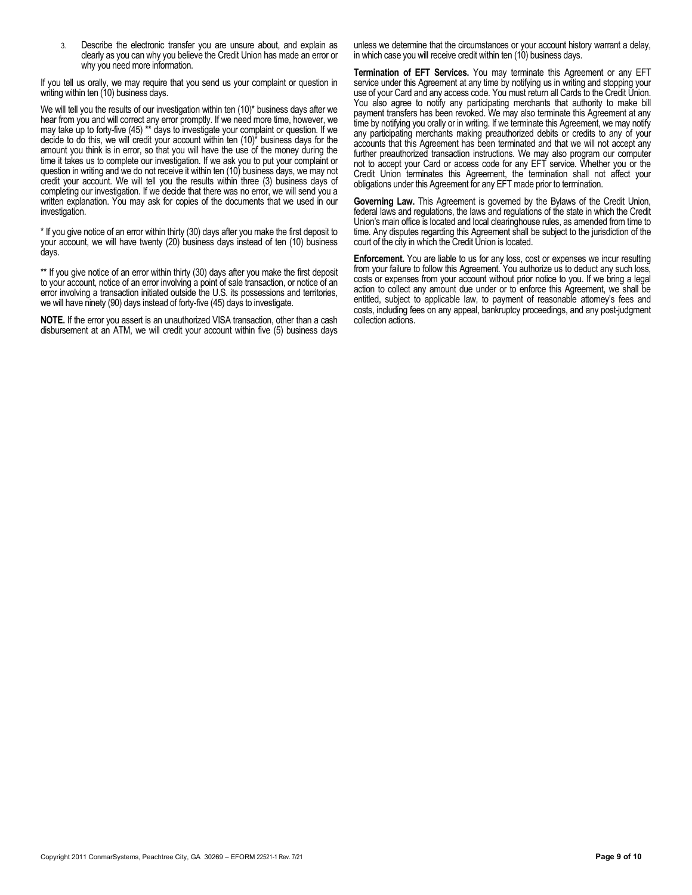3. Describe the electronic transfer you are unsure about, and explain as clearly as you can why you believe the Credit Union has made an error or why you need more information.

If you tell us orally, we may require that you send us your complaint or question in writing within ten (10) business days.

We will tell you the results of our investigation within ten (10)\* business days after we hear from you and will correct any error promptly. If we need more time, however, we may take up to forty-five (45) \*\* days to investigate your complaint or question. If we decide to do this, we will credit your account within ten (10)\* business days for the amount you think is in error, so that you will have the use of the money during the time it takes us to complete our investigation. If we ask you to put your complaint or question in writing and we do not receive it within ten (10) business days, we may not credit your account. We will tell you the results within three (3) business days of completing our investigation. If we decide that there was no error, we will send you a written explanation. You may ask for copies of the documents that we used in our investigation.

\* If you give notice of an error within thirty (30) days after you make the first deposit to your account, we will have twenty (20) business days instead of ten (10) business days.

\*\* If you give notice of an error within thirty (30) days after you make the first deposit to your account, notice of an error involving a point of sale transaction, or notice of an error involving a transaction initiated outside the U.S. its possessions and territories, we will have ninety (90) days instead of forty-five (45) days to investigate.

**NOTE.** If the error you assert is an unauthorized VISA transaction, other than a cash disbursement at an ATM, we will credit your account within five (5) business days unless we determine that the circumstances or your account history warrant a delay, in which case you will receive credit within ten (10) business days.

**Termination of EFT Services.** You may terminate this Agreement or any EFT service under this Agreement at any time by notifying us in writing and stopping your use of your Card and any access code. You must return all Cards to the Credit Union. You also agree to notify any participating merchants that authority to make bill payment transfers has been revoked. We may also terminate this Agreement at any time by notifying you orally or in writing. If we terminate this Agreement, we may notify any participating merchants making preauthorized debits or credits to any of your accounts that this Agreement has been terminated and that we will not accept any further preauthorized transaction instructions. We may also program our computer not to accept your Card or access code for any EFT service. Whether you or the Credit Union terminates this Agreement, the termination shall not affect your obligations under this Agreement for any EFT made prior to termination.

**Governing Law.** This Agreement is governed by the Bylaws of the Credit Union, federal laws and regulations, the laws and regulations of the state in which the Credit Union's main office is located and local clearinghouse rules, as amended from time to time. Any disputes regarding this Agreement shall be subject to the jurisdiction of the court of the city in which the Credit Union is located.

**Enforcement.** You are liable to us for any loss, cost or expenses we incur resulting from your failure to follow this Agreement. You authorize us to deduct any such loss, costs or expenses from your account without prior notice to you. If we bring a legal action to collect any amount due under or to enforce this Agreement, we shall be entitled, subject to applicable law, to payment of reasonable attorney's fees and costs, including fees on any appeal, bankruptcy proceedings, and any post-judgment collection actions.